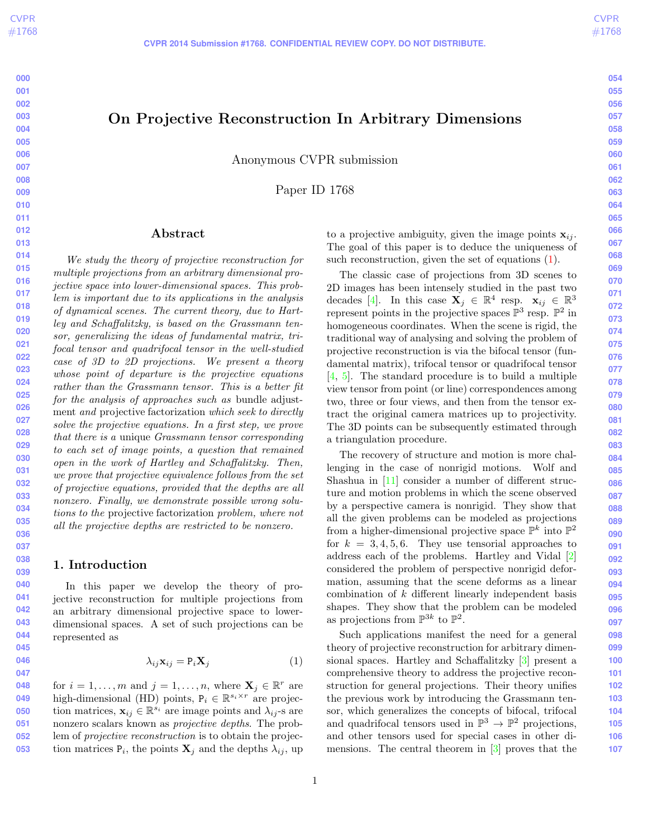# <span id="page-0-1"></span>On Projective Reconstruction In Arbitrary Dimensions

**CVPR 2014 Submission #1768. CONFIDENTIAL REVIEW COPY. DO NOT DISTRIBUTE.**

Anonymous CVPR submission

Paper ID 1768

#### Abstract

We study the theory of projective reconstruction for multiple projections from an arbitrary dimensional projective space into lower-dimensional spaces. This problem is important due to its applications in the analysis of dynamical scenes. The current theory, due to Hartley and Schaffalitzky, is based on the Grassmann tensor, generalizing the ideas of fundamental matrix, trifocal tensor and quadrifocal tensor in the well-studied case of 3D to 2D projections. We present a theory whose point of departure is the projective equations rather than the Grassmann tensor. This is a better fit for the analysis of approaches such as bundle adjustment and projective factorization which seek to directly solve the projective equations. In a first step, we prove that there is a unique Grassmann tensor corresponding to each set of image points, a question that remained open in the work of Hartley and Schaffalitzky. Then, we prove that projective equivalence follows from the set of projective equations, provided that the depths are all nonzero. Finally, we demonstrate possible wrong solutions to the projective factorization problem, where not all the projective depths are restricted to be nonzero.

# 1. Introduction

In this paper we develop the theory of projective reconstruction for multiple projections from an arbitrary dimensional projective space to lowerdimensional spaces. A set of such projections can be represented as

$$
\lambda_{ij}\mathbf{x}_{ij} = \mathbf{P}_i\mathbf{X}_j \tag{1}
$$

**048 049 050 051 052 053** for  $i = 1, ..., m$  and  $j = 1, ..., n$ , where  $\mathbf{X}_j \in \mathbb{R}^r$  are high-dimensional (HD) points,  $P_i \in \mathbb{R}^{s_i \times r}$  are projection matrices,  $\mathbf{x}_{ij} \in \mathbb{R}^{s_i}$  are image points and  $\lambda_{ij}$ -s are nonzero scalars known as projective depths. The problem of projective reconstruction is to obtain the projection matrices  $P_i$ , the points  $X_j$  and the depths  $\lambda_{ij}$ , up to a projective ambiguity, given the image points  $x_{ij}$ . The goal of this paper is to deduce the uniqueness of such reconstruction, given the set of equations [\(1\)](#page-0-0).

The classic case of projections from 3D scenes to 2D images has been intensely studied in the past two decades [\[4\]](#page-7-0). In this case  $\mathbf{X}_j \in \mathbb{R}^4$  resp.  $\mathbf{x}_{ij} \in \mathbb{R}^3$ represent points in the projective spaces  $\mathbb{P}^3$  resp.  $\mathbb{P}^2$  in homogeneous coordinates. When the scene is rigid, the traditional way of analysing and solving the problem of projective reconstruction is via the bifocal tensor (fundamental matrix), trifocal tensor or quadrifocal tensor [\[4,](#page-7-0) [5\]](#page-7-1). The standard procedure is to build a multiple view tensor from point (or line) correspondences among two, three or four views, and then from the tensor extract the original camera matrices up to projectivity. The 3D points can be subsequently estimated through a triangulation procedure.

The recovery of structure and motion is more challenging in the case of nonrigid motions. Wolf and Shashua in [\[11\]](#page-7-2) consider a number of different structure and motion problems in which the scene observed by a perspective camera is nonrigid. They show that all the given problems can be modeled as projections from a higher-dimensional projective space  $\mathbb{P}^k$  into  $\mathbb{P}^2$ for  $k = 3, 4, 5, 6$ . They use tensorial approaches to address each of the problems. Hartley and Vidal [\[2\]](#page-7-3) considered the problem of perspective nonrigid deformation, assuming that the scene deforms as a linear combination of  $k$  different linearly independent basis shapes. They show that the problem can be modeled as projections from  $\mathbb{P}^{3k}$  to  $\mathbb{P}^2$ .

<span id="page-0-0"></span>Such applications manifest the need for a general theory of projective reconstruction for arbitrary dimensional spaces. Hartley and Schaffalitzky [\[3\]](#page-7-4) present a comprehensive theory to address the projective reconstruction for general projections. Their theory unifies the previous work by introducing the Grassmann tensor, which generalizes the concepts of bifocal, trifocal and quadrifocal tensors used in  $\mathbb{P}^3 \to \mathbb{P}^2$  projections, and other tensors used for special cases in other dimensions. The central theorem in [\[3\]](#page-7-4) proves that the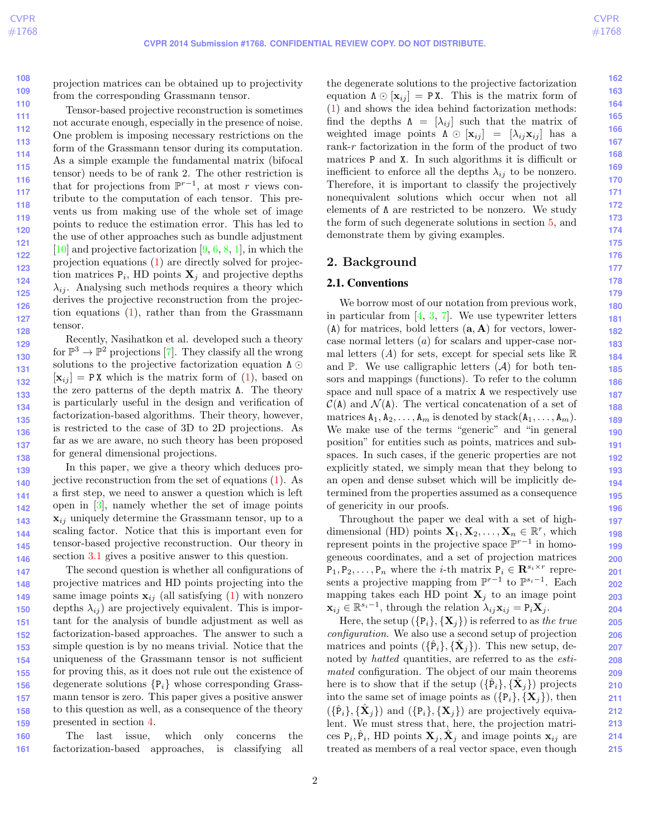**108 109**

**133**

**136**

<span id="page-1-0"></span>projection matrices can be obtained up to projectivity from the corresponding Grassmann tensor.

**110 111 112 113 114 115 116 117 118 119 120 121 122 123 124 125 126 127 128** Tensor-based projective reconstruction is sometimes not accurate enough, especially in the presence of noise. One problem is imposing necessary restrictions on the form of the Grassmann tensor during its computation. As a simple example the fundamental matrix (bifocal tensor) needs to be of rank 2. The other restriction is that for projections from  $\mathbb{P}^{r-1}$ , at most r views contribute to the computation of each tensor. This prevents us from making use of the whole set of image points to reduce the estimation error. This has led to the use of other approaches such as bundle adjustment  $[10]$  and projective factorization  $[9, 6, 8, 1]$  $[9, 6, 8, 1]$  $[9, 6, 8, 1]$  $[9, 6, 8, 1]$  $[9, 6, 8, 1]$  $[9, 6, 8, 1]$  $[9, 6, 8, 1]$ , in which the projection equations [\(1\)](#page-0-0) are directly solved for projection matrices  $P_i$ , HD points  $X_j$  and projective depths  $\lambda_{ij}$ . Analysing such methods requires a theory which derives the projective reconstruction from the projection equations [\(1\)](#page-0-0), rather than from the Grassmann tensor.

**129 130 131 132 134 135 137 138** Recently, Nasihatkon et al. developed such a theory for  $\mathbb{P}^3 \to \mathbb{P}^2$  projections [\[7\]](#page-7-10). They classify all the wrong solutions to the projective factorization equation  $\Lambda$  $[\mathbf{x}_{ij}] = \texttt{PX}$  which is the matrix form of [\(1\)](#page-0-0), based on the zero patterns of the depth matrix Λ. The theory is particularly useful in the design and verification of factorization-based algorithms. Their theory, however, is restricted to the case of 3D to 2D projections. As far as we are aware, no such theory has been proposed for general dimensional projections.

**139 140 141 142 143 144 145 146** In this paper, we give a theory which deduces projective reconstruction from the set of equations [\(1\)](#page-0-0). As a first step, we need to answer a question which is left open in [\[3\]](#page-7-4), namely whether the set of image points  $\mathbf{x}_{ij}$  uniquely determine the Grassmann tensor, up to a scaling factor. Notice that this is important even for tensor-based projective reconstruction. Our theory in section [3.1](#page-4-0) gives a positive answer to this question.

**147 148 149 150 151 152 153 154 155 156 157 158 159** The second question is whether all configurations of projective matrices and HD points projecting into the same image points  $\mathbf{x}_{ij}$  (all satisfying [\(1\)](#page-0-0) with nonzero depths  $\lambda_{ij}$  are projectively equivalent. This is important for the analysis of bundle adjustment as well as factorization-based approaches. The answer to such a simple question is by no means trivial. Notice that the uniqueness of the Grassmann tensor is not sufficient for proving this, as it does not rule out the existence of degenerate solutions  $\{P_i\}$  whose corresponding Grassmann tensor is zero. This paper gives a positive answer to this question as well, as a consequence of the theory presented in section [4.](#page-5-0)

**160 161** The last issue, which only concerns the factorization-based approaches, is classifying all the degenerate solutions to the projective factorization equation  $\Lambda \odot [\mathbf{x}_{ij}] = \mathbf{P} \mathbf{X}$ . This is the matrix form of [\(1\)](#page-0-0) and shows the idea behind factorization methods: find the depths  $\Lambda = [\lambda_{ij}]$  such that the matrix of weighted image points  $\Lambda \odot [\mathbf{x}_{ij}] = [\lambda_{ij}\mathbf{x}_{ij}]$  has a rank-r factorization in the form of the product of two matrices P and X. In such algorithms it is difficult or inefficient to enforce all the depths  $\lambda_{ij}$  to be nonzero. Therefore, it is important to classify the projectively nonequivalent solutions which occur when not all elements of Λ are restricted to be nonzero. We study the form of such degenerate solutions in section [5,](#page-6-0) and demonstrate them by giving examples.

## 2. Background

#### 2.1. Conventions

We borrow most of our notation from previous work, in particular from [\[4,](#page-7-0) [3,](#page-7-4) [7\]](#page-7-10). We use typewriter letters  $(A)$  for matrices, bold letters  $(a, A)$  for vectors, lowercase normal letters (a) for scalars and upper-case normal letters  $(A)$  for sets, except for special sets like  $\mathbb R$ and  $\mathbb{P}$ . We use calligraphic letters  $(\mathcal{A})$  for both tensors and mappings (functions). To refer to the column space and null space of a matrix A we respectively use  $\mathcal{C}(\mathbf{A})$  and  $\mathcal{N}(\mathbf{A})$ . The vertical concatenation of a set of matrices  $A_1, A_2, \ldots, A_m$  is denoted by stack $(A_1, \ldots, A_m)$ . We make use of the terms "generic" and "in general position" for entities such as points, matrices and subspaces. In such cases, if the generic properties are not explicitly stated, we simply mean that they belong to an open and dense subset which will be implicitly determined from the properties assumed as a consequence of genericity in our proofs.

Throughout the paper we deal with a set of highdimensional (HD) points  $\mathbf{X}_1, \mathbf{X}_2, \ldots, \mathbf{X}_n \in \mathbb{R}^r$ , which represent points in the projective space  $\mathbb{P}^{r-1}$  in homogeneous coordinates, and a set of projection matrices  $P_1, P_2, \ldots, P_n$  where the *i*-th matrix  $P_i \in \mathbb{R}^{s_i \times r}$  represents a projective mapping from  $\mathbb{P}^{r-1}$  to  $\mathbb{P}^{s_i-1}$ . Each mapping takes each HD point  $X_j$  to an image point  $\mathbf{x}_{ij} \in \mathbb{R}^{s_i-1}$ , through the relation  $\lambda_{ij}\mathbf{x}_{ij} = \mathbf{P}_i\mathbf{X}_j$ .

Here, the setup  $({P_i}, {X_j})$  is referred to as the true configuration. We also use a second setup of projection matrices and points  $({{\hat{\bf{P}}}_i}, {\hat{\bf{X}}}_j)$ . This new setup, denoted by *hatted* quantities, are referred to as the *esti*mated configuration. The object of our main theorems here is to show that if the setup  $(\{\hat{P}_i\}, {\{\hat{X}_j\}})$  projects into the same set of image points as  $({P_i}, {X_j})$ , then  $({{\hat{\mathbf{P}}}_i}, {\{\hat{\mathbf{X}}}_j})$  and  $({{\mathbf{P}}_i}, {\{\mathbf{X}}_j})$  are projectively equivalent. We must stress that, here, the projection matrices  $P_i, \hat{P}_i$ , HD points  $X_j, \hat{X}_j$  and image points  $x_{ij}$  are treated as members of a real vector space, even though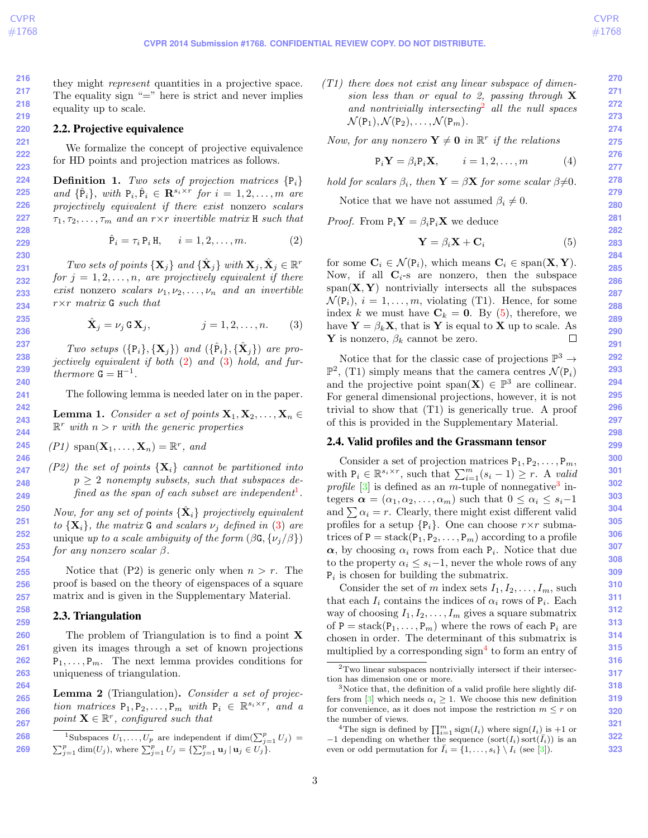**269**

<span id="page-2-9"></span>they might *represent* quantities in a projective space. The equality sign  $"="math> ="$  here is strict and never implies equality up to scale.

#### 2.2. Projective equivalence

We formalize the concept of projective equivalence for HD points and projection matrices as follows.

**Definition 1.** Two sets of projection matrices  $\{P_i\}$ and  $\{\hat{P}_i\}$ , with  $P_i, \hat{P}_i \in \mathbb{R}^{s_i \times r}$  for  $i = 1, 2, ..., m$  are projectively equivalent if there exist nonzero scalars  $\tau_1, \tau_2, \ldots, \tau_m$  and an  $r \times r$  invertible matrix H such that

$$
\hat{\mathbf{P}}_i = \tau_i \, \mathbf{P}_i \, \mathbf{H}, \qquad i = 1, 2, \dots, m. \tag{2}
$$

Two sets of points  $\{X_j\}$  and  $\{\hat{X}_j\}$  with  $X_j, \hat{X}_j \in \mathbb{R}^r$ for  $j = 1, 2, \ldots, n$ , are projectively equivalent if there exist nonzero scalars  $\nu_1, \nu_2, \ldots, \nu_n$  and an invertible  $r \times r$  matrix G such that

$$
\hat{\mathbf{X}}_j = \nu_j \mathbf{G} \mathbf{X}_j, \qquad j = 1, 2, \dots, n. \qquad (3)
$$

Two setups  $(\{P_i\}, {\{\mathbf{X}_j\}})$  and  $(\{\hat{P}_i\}, {\{\hat{\mathbf{X}}_j\}})$  are projectively equivalent if both [\(2\)](#page-2-0) and [\(3\)](#page-2-1) hold, and furthermore  $G = H^{-1}$ .

The following lemma is needed later on in the paper.

<span id="page-2-8"></span>**Lemma 1.** Consider a set of points  $X_1, X_2, \ldots, X_n \in$  $\mathbb{R}^r$  with  $n > r$  with the generic properties

$$
(P1) \ \mathrm{span}(\mathbf{X}_1,\ldots,\mathbf{X}_n)=\mathbb{R}^r, \ and
$$

(P2) the set of points  $\{X_i\}$  cannot be partitioned into  $p > 2$  nonempty subsets, such that subspaces de-fined as the span of each subset are independent<sup>[1](#page-2-2)</sup>.

Now, for any set of points  $\{\hat{\mathbf{X}}_i\}$  projectively equivalent to  $\{X_i\}$ , the matrix G and scalars  $\nu_i$  defined in [\(3\)](#page-2-1) are unique up to a scale ambiguity of the form  $(\beta G, {\{\nu_i/\beta\}})$ for any nonzero scalar β.

Notice that  $(P2)$  is generic only when  $n > r$ . The proof is based on the theory of eigenspaces of a square matrix and is given in the Supplementary Material.

#### 2.3. Triangulation

The problem of Triangulation is to find a point **X** given its images through a set of known projections  $P_1, \ldots, P_m$ . The next lemma provides conditions for uniqueness of triangulation.

<span id="page-2-7"></span>Lemma 2 (Triangulation). Consider a set of projection matrices  $P_1, P_2, \ldots, P_m$  with  $P_i \in \mathbb{R}^{s_i \times r}$ , and a point  $\mathbf{X} \in \mathbb{R}^r$ , configured such that

<span id="page-2-2"></span><sup>1</sup>Subspaces 
$$
U_1, ..., U_p
$$
 are independent if  $\dim(\sum_{j=1}^p U_j) = \sum_{j=1}^p \dim(U_j)$ , where  $\sum_{j=1}^p U_j = \{\sum_{j=1}^p \mathbf{u}_j \mid \mathbf{u}_j \in U_j\}$ .

 $(T1)$  there does not exist any linear subspace of dimension less than or equal to 2, passing through  $X$ and nontrivially intersecting<sup>[2](#page-2-3)</sup> all the null spaces  $\mathcal{N}(\mathsf{P}_1), \mathcal{N}(\mathsf{P}_2), \ldots, \mathcal{N}(\mathsf{P}_m).$ 

Now, for any nonzero  $\mathbf{Y} \neq \mathbf{0}$  in  $\mathbb{R}^r$  if the relations

$$
\mathbf{P}_i \mathbf{Y} = \beta_i \mathbf{P}_i \mathbf{X}, \qquad i = 1, 2, \dots, m \tag{4}
$$

hold for scalars  $\beta_i$ , then  $\mathbf{Y} = \beta \mathbf{X}$  for some scalar  $\beta \neq 0$ .

Notice that we have not assumed  $\beta_i \neq 0$ .

<span id="page-2-0"></span>*Proof.* From  $P_i Y = \beta_i P_i X$  we deduce

<span id="page-2-4"></span>
$$
\mathbf{Y} = \beta_i \mathbf{X} + \mathbf{C}_i \tag{5}
$$

for some  $C_i \in \mathcal{N}(P_i)$ , which means  $C_i \in span(X, Y)$ . Now, if all  $\mathbf{C}_i$ -s are nonzero, then the subspace  $span(X, Y)$  nontrivially intersects all the subspaces  $\mathcal{N}(\mathsf{P}_i), i = 1, \ldots, m$ , violating (T1). Hence, for some index k we must have  $\mathbf{C}_k = \mathbf{0}$ . By [\(5\)](#page-2-4), therefore, we have  $\mathbf{Y} = \beta_k \mathbf{X}$ , that is Y is equal to X up to scale. As **Y** is nonzero,  $\beta_k$  cannot be zero.  $\Box$ 

<span id="page-2-1"></span>Notice that for the classic case of projections  $\mathbb{P}^3 \to$  $\mathbb{P}^2$ , (T1) simply means that the camera centres  $\mathcal{N}(\mathsf{P}_i)$ and the projective point span $(X) \in \mathbb{P}^3$  are collinear. For general dimensional projections, however, it is not trivial to show that (T1) is generically true. A proof of this is provided in the Supplementary Material.

#### 2.4. Valid profiles and the Grassmann tensor

Consider a set of projection matrices  $P_1, P_2, \ldots, P_m$ , with  $P_i \in \mathbb{R}^{s_i \times r}$ , such that  $\sum_{i=1}^{m} (s_i - 1) \geq r$ . A valid profile  $[3]$  is defined as an m-tuple of nonnegative<sup>[3](#page-2-5)</sup> integers  $\boldsymbol{\alpha} = (\alpha_1, \alpha_2, \dots, \alpha_m)$  such that  $0 \leq \alpha_i \leq s_i-1$ and  $\sum \alpha_i = r$ . Clearly, there might exist different valid profiles for a setup  $\{P_i\}$ . One can choose  $r \times r$  submatrices of  $P = \text{stack}(P_1, P_2, \ldots, P_m)$  according to a profile  $\alpha$ , by choosing  $\alpha_i$  rows from each  $P_i$ . Notice that due to the property  $\alpha_i \leq s_i-1$ , never the whole rows of any  $P_i$  is chosen for building the submatrix.

Consider the set of m index sets  $I_1, I_2, \ldots, I_m$ , such that each  $I_i$  contains the indices of  $\alpha_i$  rows of  $P_i$ . Each way of choosing  $I_1, I_2, \ldots, I_m$  gives a square submatrix of  $P = \text{stack}(P_1, \ldots, P_m)$  where the rows of each  $P_i$  are chosen in order. The determinant of this submatrix is multiplied by a corresponding  $sign<sup>4</sup>$  $sign<sup>4</sup>$  $sign<sup>4</sup>$  to form an entry of

<span id="page-2-3"></span> $\rm{^2Two}$  linear subspaces nontrivially intersect if their intersection has dimension one or more.

<span id="page-2-5"></span><sup>&</sup>lt;sup>3</sup>Notice that, the definition of a valid profile here slightly dif-fers from [\[3\]](#page-7-4) which needs  $\alpha_i \geq 1$ . We choose this new definition for convenience, as it does not impose the restriction  $m \leq r$  on the number of views.

<span id="page-2-6"></span><sup>&</sup>lt;sup>4</sup>The sign is defined by  $\prod_{i=1}^{m} sign(I_i)$  where  $sign(I_i)$  is +1 or  $-1$  depending on whether the sequence  $(\text{sort}(I_i) \text{sort}(\overline{I}_i))$  is an even or odd permutation for  $\bar{I}_i = \{1, \ldots, s_i\} \setminus I_i$  (see [\[3\]](#page-7-4)).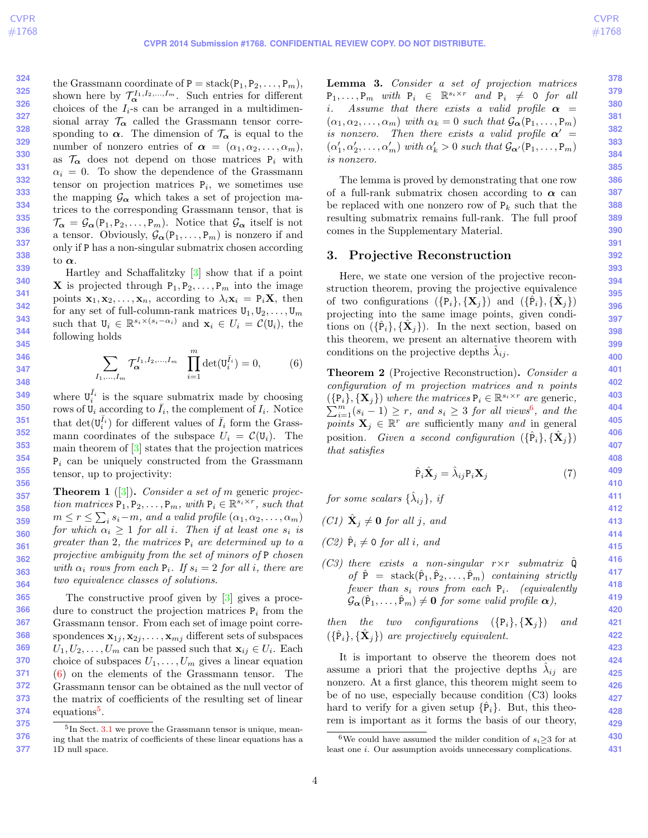<span id="page-3-6"></span>the Grassmann coordinate of  $P = \text{stack}(P_1, P_2, \ldots, P_m)$ , shown here by  $\mathcal{T}_{\alpha}^{I_1,I_2,...,I_m}$ . Such entries for different choices of the  $I_i$ -s can be arranged in a multidimensional array  $\mathcal{T}_{\alpha}$  called the Grassmann tensor corresponding to  $\alpha$ . The dimension of  $\mathcal{T}_{\alpha}$  is equal to the number of nonzero entries of  $\alpha = (\alpha_1, \alpha_2, \ldots, \alpha_m)$ , as  $\mathcal{T}_{\alpha}$  does not depend on those matrices  $P_i$  with  $\alpha_i = 0$ . To show the dependence of the Grassmann tensor on projection matrices  $P_i$ , we sometimes use the mapping  $\mathcal{G}_{\alpha}$  which takes a set of projection matrices to the corresponding Grassmann tensor, that is  $\mathcal{T}_{\alpha} = \mathcal{G}_{\alpha}(\mathsf{P}_1, \mathsf{P}_2, \ldots, \mathsf{P}_m)$ . Notice that  $\mathcal{G}_{\alpha}$  itself is not a tensor. Obviously,  $\mathcal{G}_{\alpha}(\mathsf{P}_1,\ldots,\mathsf{P}_m)$  is nonzero if and only if P has a non-singular submatrix chosen according to  $\alpha$ .

Hartley and Schaffalitzky [\[3\]](#page-7-4) show that if a point **X** is projected through  $P_1, P_2, \ldots, P_m$  into the image points  $\mathbf{x}_1, \mathbf{x}_2, \ldots, \mathbf{x}_n$ , according to  $\lambda_i \mathbf{x}_i = P_i \mathbf{X}$ , then for any set of full-column-rank matrices  $U_1, U_2, \ldots, U_m$ such that  $\mathbf{U}_i \in \mathbb{R}^{s_i \times (s_i - \alpha_i)}$  and  $\mathbf{x}_i \in U_i = \mathcal{C}(\mathbf{U}_i)$ , the following holds

$$
\sum_{I_1,\dots,I_m} \mathcal{T}_{\alpha}^{I_1,I_2,\dots,I_m} \prod_{i=1}^m \det(\mathbf{U}_i^{\bar{I}_i}) = 0, \tag{6}
$$

where  $\mathbf{U}_i^{\bar{I}_i}$  is the square submatrix made by choosing rows of  $\mathbf{U}_i$  according to  $\bar{I}_i$ , the complement of  $I_i$ . Notice that  $\det(\mathbf{U}_i^{\bar{I}_i})$  for different values of  $\bar{I}_i$  form the Grassmann coordinates of the subspace  $U_i = \mathcal{C}(\mathbf{U}_i)$ . The main theorem of [\[3\]](#page-7-4) states that the projection matrices  $P_i$  can be uniquely constructed from the Grassmann tensor, up to projectivity:

<span id="page-3-4"></span>**Theorem 1** ([\[3\]](#page-7-4)). Consider a set of m generic projection matrices  $P_1, P_2, \ldots, P_m$ , with  $P_i \in \mathbb{R}^{s_i \times r}$ , such that  $m \leq r \leq \sum_i s_i - m$ , and a valid profile  $(\alpha_1, \alpha_2, \ldots, \alpha_m)$ for which  $\alpha_i \geq 1$  for all i. Then if at least one  $s_i$  is greater than 2, the matrices  $P_i$  are determined up to a projective ambiguity from the set of minors of P chosen with  $\alpha_i$  rows from each  $P_i$ . If  $s_i = 2$  for all i, there are two equivalence classes of solutions.

**365 366 367 368 369 370 371 372 373 374** The constructive proof given by [\[3\]](#page-7-4) gives a procedure to construct the projection matrices  $P_i$  from the Grassmann tensor. From each set of image point correspondences  $\mathbf{x}_{1j}, \mathbf{x}_{2j}, \ldots, \mathbf{x}_{mj}$  different sets of subspaces  $U_1, U_2, \ldots, U_m$  can be passed such that  $\mathbf{x}_{ij} \in U_i$ . Each choice of subspaces  $U_1, \ldots, U_m$  gives a linear equation [\(6\)](#page-3-0) on the elements of the Grassmann tensor. The Grassmann tensor can be obtained as the null vector of the matrix of coefficients of the resulting set of linear equations<sup>[5](#page-3-1)</sup>.

<span id="page-3-5"></span>Lemma 3. Consider a set of projection matrices  $P_1, \ldots, P_m$  with  $P_i \in \mathbb{R}^{s_i \times r}$  and  $P_i \neq 0$  for all *i*. Assume that there exists a valid profile  $\alpha$  =  $(\alpha_1, \alpha_2, \ldots, \alpha_m)$  with  $\alpha_k = 0$  such that  $\mathcal{G}_{\alpha}(\mathsf{P}_1, \ldots, \mathsf{P}_m)$ is nonzero. Then there exists a valid profile  $\alpha'$  =  $(\alpha'_1, \alpha'_2, \dots, \alpha'_m)$  with  $\alpha'_k > 0$  such that  $\mathcal{G}_{\alpha'}(P_1, \dots, P_m)$ is nonzero.

The lemma is proved by demonstrating that one row of a full-rank submatrix chosen according to  $\alpha$  can be replaced with one nonzero row of  $P_k$  such that the resulting submatrix remains full-rank. The full proof comes in the Supplementary Material.

# 3. Projective Reconstruction

Here, we state one version of the projective reconstruction theorem, proving the projective equivalence of two configurations  $(\{\overline{P}_i\}, {\{\mathbf{X}_j\}})$  and  $(\{\overline{P}_i\}, {\{\mathbf{X}_j\}})$ projecting into the same image points, given conditions on  $({{\hat{\mathbf{P}}}_i}, {\hat{\mathbf{X}}}_j)$ . In the next section, based on this theorem, we present an alternative theorem with conditions on the projective depths  $\hat{\lambda}_{ij}$ .

<span id="page-3-3"></span><span id="page-3-0"></span>Theorem 2 (Projective Reconstruction). Consider a configuration of m projection matrices and n points  $({p_i}, {X_j})$  where the matrices  $P_i \in \mathbb{R}^{s_i \times r}$  are generic,  $\sum_{i=1}^{m} (s_i - 1) \geq r$ , and  $s_i \geq 3$  for all views<sup>[6](#page-3-2)</sup>, and the points  $X_j \in \mathbb{R}^r$  are sufficiently many and in general position. Given a second configuration  $({{\hat{\bf{P}}}_i}, {\hat{\bf{X}}}_j)$ that satisfies

$$
\hat{\mathbf{P}}_i \hat{\mathbf{X}}_j = \hat{\lambda}_{ij} \mathbf{P}_i \mathbf{X}_j \tag{7}
$$

for some scalars  $\{\hat{\lambda}_{ij}\},\;ij$ 

(C1) 
$$
\hat{\mathbf{X}}_j \neq \mathbf{0}
$$
 for all j, and

- (C2)  $\hat{P}_i \neq 0$  for all i, and
- (C3) there exists a non-singular  $r \times r$  submatrix  $\hat{Q}$ of  $\hat{P}$  = stack $(\hat{P}_1, \hat{P}_2, \ldots, \hat{P}_m)$  containing strictly fewer than  $s_i$  rows from each  $P_i$ . (equivalently  $\mathcal{G}_{\alpha}(\hat{P}_1,\ldots,\hat{P}_m) \neq \mathbf{0}$  for some valid profile  $\alpha$ ),

then the two configurations  $({P_i}, {X_j})$  and  $(\{\hat{P}_i\}, {\{\hat{\mathbf{X}}_j\}})$  are projectively equivalent.

It is important to observe the theorem does not assume a priori that the projective depths  $\hat{\lambda}_{ij}$  are nonzero. At a first glance, this theorem might seem to be of no use, especially because condition (C3) looks hard to verify for a given setup  $\{P_i\}$ . But, this theorem is important as it forms the basis of our theory,

<span id="page-3-1"></span>**<sup>375</sup> 376 377** <sup>5</sup>In Sect. [3.1](#page-4-0) we prove the Grassmann tensor is unique, meaning that the matrix of coefficients of these linear equations has a 1D null space.

<span id="page-3-2"></span><sup>&</sup>lt;sup>6</sup>We could have assumed the milder condition of  $s_i \geq 3$  for at least one i. Our assumption avoids unnecessary complications.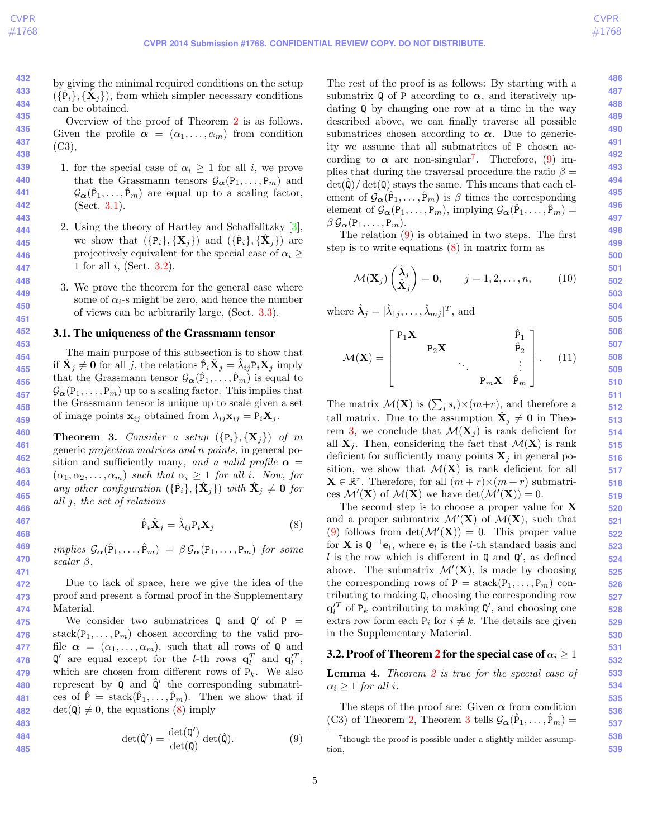<span id="page-4-7"></span>by giving the minimal required conditions on the setup  $({{\hat{\{\mathbf{P}}}_i}\}, {\{\tilde{\mathbf{X}}_j\}})$ , from which simpler necessary conditions can be obtained.

Overview of the proof of Theorem [2](#page-3-3) is as follows. Given the profile  $\alpha = (\alpha_1, \ldots, \alpha_m)$  from condition (C3),

- 1. for the special case of  $\alpha_i \geq 1$  for all i, we prove that the Grassmann tensors  $\mathcal{G}_{\alpha}(\mathsf{P}_1,\ldots,\mathsf{P}_m)$  and  $\mathcal{G}_{\alpha}(\hat{P}_1,\ldots,\hat{P}_m)$  are equal up to a scaling factor, (Sect. [3.1\)](#page-4-0).
- 2. Using the theory of Hartley and Schaffalitzky [\[3\]](#page-7-4), we show that  $(\{P_i\}, {\{\mathbf{X}_j\}})$  and  $(\{\hat{P}_i\}, {\{\hat{\mathbf{X}}_j\}})$  are projectively equivalent for the special case of  $\alpha_i \geq$ 1 for all  $i$ , (Sect. [3.2\)](#page-4-1).
- 3. We prove the theorem for the general case where some of  $\alpha_i$ -s might be zero, and hence the number of views can be arbitrarily large, (Sect. [3.3\)](#page-5-1).

#### <span id="page-4-0"></span>3.1. The uniqueness of the Grassmann tensor

The main purpose of this subsection is to show that if  $\hat{\mathbf{X}}_j \neq \mathbf{0}$  for all j, the relations  $\hat{\mathbf{P}}_i \hat{\mathbf{X}}_j = \hat{\lambda}_{ij} \mathbf{P}_i \mathbf{X}_j$  imply that the Grassmann tensor  $\mathcal{G}_{\alpha}(\hat{P}_1, \ldots, \hat{P}_m)$  is equal to  $\mathcal{G}_{\alpha}(\mathbf{P}_1,\ldots,\mathbf{P}_m)$  up to a scaling factor. This implies that the Grassmann tensor is unique up to scale given a set of image points  $\mathbf{x}_{ij}$  obtained from  $\lambda_{ij}\mathbf{x}_{ij} = \mathbf{P}_i\mathbf{X}_j$ .

<span id="page-4-5"></span>**Theorem 3.** Consider a setup  $({P_i}, {X_i})$  of m generic projection matrices and n points, in general position and sufficiently many, and a valid profile  $\alpha =$  $(\alpha_1, \alpha_2, \ldots, \alpha_m)$  such that  $\alpha_i \geq 1$  for all i. Now, for any other configuration  $(\{\hat{P}_i\}, {\{\hat{\mathbf{X}}_j\}})$  with  $\hat{\mathbf{X}}_j \neq \mathbf{0}$  for all j, the set of relations

$$
\hat{\mathbf{P}}_i \hat{\mathbf{X}}_j = \hat{\lambda}_{ij} \mathbf{P}_i \mathbf{X}_j \tag{8}
$$

implies  $\mathcal{G}_{\alpha}(\hat{P}_1,\ldots,\hat{P}_m) = \beta \mathcal{G}_{\alpha}(P_1,\ldots,P_m)$  for some scalar β.

Due to lack of space, here we give the idea of the proof and present a formal proof in the Supplementary Material.

**475 476 477 478 479 480 481 482** We consider two submatrices  $Q$  and  $Q'$  of P = stack $(P_1, \ldots, P_m)$  chosen according to the valid profile  $\alpha = (\alpha_1, \ldots, \alpha_m)$ , such that all rows of Q and  $\mathbf{Q}'$  are equal except for the *l*-th rows  $\mathbf{q}_l^T$  and  $\mathbf{q}_l^{\prime T}$ , which are chosen from different rows of  $P_k$ . We also represent by  $\hat{\mathbf{Q}}$  and  $\hat{\mathbf{Q}}'$  the corresponding submatrices of  $\hat{P} = \text{stack}(\hat{P}_1, \ldots, \hat{P}_m)$ . Then we show that if  $\det(Q) \neq 0$ , the equations [\(8\)](#page-4-2) imply

483  
484  
485  

$$
\det(\hat{\mathbf{Q}}') = \frac{\det(\mathbf{Q}')}{\det(\mathbf{Q})} \det(\hat{\mathbf{Q}}). \tag{9}
$$

The rest of the proof is as follows: By starting with a submatrix Q of P according to  $\alpha$ , and iteratively updating Q by changing one row at a time in the way described above, we can finally traverse all possible submatrices chosen according to  $\alpha$ . Due to genericity we assume that all submatrices of P chosen according to  $\alpha$  are non-singular<sup>[7](#page-4-3)</sup>. Therefore, [\(9\)](#page-4-4) implies that during the traversal procedure the ratio  $\beta =$  $\det(\hat{\mathbf{Q}})/\det(\mathbf{Q})$  stays the same. This means that each element of  $\mathcal{G}_{\alpha}(\hat{P}_1,\ldots,\hat{P}_m)$  is  $\beta$  times the corresponding element of  $\mathcal{G}_{\alpha}(\mathsf{P}_1,\ldots,\mathsf{P}_m)$ , implying  $\mathcal{G}_{\alpha}(\hat{\mathsf{P}}_1,\ldots,\hat{\mathsf{P}}_m)$  =  $\beta \mathcal{G}_{\alpha}(\mathsf{P}_1,\ldots,\mathsf{P}_m).$ 

The relation [\(9\)](#page-4-4) is obtained in two steps. The first step is to write equations [\(8\)](#page-4-2) in matrix form as

$$
\mathcal{M}(\mathbf{X}_{j})\begin{pmatrix} \hat{\lambda}_{j} \\ \hat{\mathbf{X}}_{j} \end{pmatrix} = \mathbf{0}, \qquad j = 1, 2, ..., n, \qquad (10)
$$

where  $\hat{\lambda}_j = [\hat{\lambda}_{1j}, \dots, \hat{\lambda}_{mj}]^T$ , and

$$
\mathcal{M}(\mathbf{X}) = \begin{bmatrix} \mathbf{P}_1 \mathbf{X} & \mathbf{\hat{p}}_1 \\ \mathbf{P}_2 \mathbf{X} & \mathbf{\hat{p}}_2 \\ \vdots & \ddots & \vdots \\ \mathbf{P}_m \mathbf{X} & \mathbf{\hat{p}}_m \end{bmatrix} .
$$
 (11)

The matrix  $\mathcal{M}(\mathbf{X})$  is  $(\sum_i s_i) \times (m+r)$ , and therefore a tall matrix. Due to the assumption  $\hat{\mathbf{X}}_j \neq \mathbf{0}$  in Theo-rem [3,](#page-4-5) we conclude that  $\mathcal{M}(\mathbf{X}_i)$  is rank deficient for all  $X_i$ . Then, considering the fact that  $\mathcal{M}(X)$  is rank deficient for sufficiently many points  $X_i$  in general position, we show that  $\mathcal{M}(\mathbf{X})$  is rank deficient for all  $\mathbf{X} \in \mathbb{R}^r$ . Therefore, for all  $(m+r) \times (m+r)$  submatrices  $\mathcal{M}'(\mathbf{X})$  of  $\mathcal{M}(\mathbf{X})$  we have  $\det(\mathcal{M}'(\mathbf{X})) = 0$ .

<span id="page-4-2"></span>The second step is to choose a proper value for X and a proper submatrix  $\mathcal{M}'(\mathbf{X})$  of  $\mathcal{M}(\mathbf{X})$ , such that [\(9\)](#page-4-4) follows from  $\det(\mathcal{M}'(\mathbf{X})) = 0$ . This proper value for **X** is  $Q^{-1}e_l$ , where  $e_l$  is the *l*-th standard basis and l is the row which is different in  $\mathbb Q$  and  $\mathbb Q'$ , as defined above. The submatrix  $\mathcal{M}'(\mathbf{X})$ , is made by choosing the corresponding rows of  $P = \text{stack}(P_1, \ldots, P_m)$  contributing to making Q, choosing the corresponding row  $\mathbf{q}'^T_l$  of P<sub>k</sub> contributing to making  $\mathbf{Q}'$ , and choosing one extra row form each  $P_i$  for  $i \neq k$ . The details are given in the Supplementary Material.

# <span id="page-4-1"></span>**3.[2](#page-3-3). Proof of Theorem 2 for the special case of**  $\alpha_i \geq 1$

<span id="page-4-6"></span>**Lemma 4.** Theorem  $2$  is true for the special case of  $\alpha_i \geq 1$  for all i.

The steps of the proof are: Given  $\alpha$  from condition (C3) of Theorem [2,](#page-3-3) Theorem [3](#page-4-5) tells  $\mathcal{G}_{\alpha}(\hat{P}_1,\ldots,\hat{P}_m)$  =

<span id="page-4-4"></span><span id="page-4-3"></span><sup>&</sup>lt;sup>7</sup>though the proof is possible under a slightly milder assumption,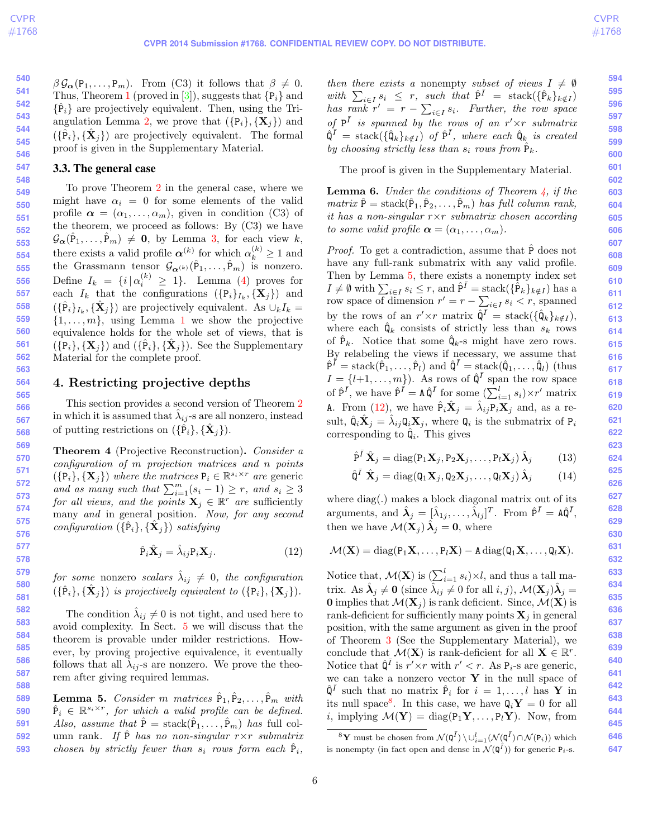<span id="page-5-7"></span> $\beta \mathcal{G}_{\alpha}(P_1,\ldots,P_m)$ . From (C3) it follows that  $\beta \neq 0$ . Thus, Theorem [1](#page-3-4) (proved in [\[3\]](#page-7-4)), suggests that  ${P_i}$  and  $\{\hat{P}_i\}$  are projectively equivalent. Then, using the Tri-angulation Lemma [2,](#page-2-7) we prove that  $({P_i},{\mathbf{X}_j})$  and  $({{\hat{P}}}_i, {{\hat{X}}}_j)$  are projectively equivalent. The formal proof is given in the Supplementary Material.

#### <span id="page-5-1"></span>3.3. The general case

To prove Theorem [2](#page-3-3) in the general case, where we might have  $\alpha_i = 0$  for some elements of the valid profile  $\boldsymbol{\alpha} = (\alpha_1, \ldots, \alpha_m)$ , given in condition (C3) of the theorem, we proceed as follows: By  $(C3)$  we have  $\mathcal{G}_{\alpha}(\hat{P}_1,\ldots,\hat{P}_m) \neq \mathbf{0}$ , by Lemma [3,](#page-3-5) for each view k, there exists a valid profile  $\alpha^{(k)}$  for which  $\alpha^{(k)}_k \geq 1$  and the Grassmann tensor  $\mathcal{G}_{\alpha^{(k)}}(\hat{P}_1,\ldots,\hat{P}_m)$  is nonzero. Define  $I_k = \{i \mid \alpha_i^{(k)} \geq 1\}$ . Lemma [\(4\)](#page-4-6) proves for each  $I_k$  that the configurations  $({\lbrace \mathbf{P}_i \rbrace}_{I_k}, {\lbrace \mathbf{X}_j \rbrace})$  and  $({{\hat{\{P_i}\}}_{I_k}, {\{\hat{\mathbf{X}}_j\}}})$  are projectively equivalent. As  $\cup_k I_k =$  $\{1, \ldots, m\}$  $\{1, \ldots, m\}$  $\{1, \ldots, m\}$ , using Lemma 1 we show the projective equivalence holds for the whole set of views, that is  $({\lbrace \mathbf{P}_i \rbrace}, {\lbrace \mathbf{X}_j \rbrace})$  and  $({\lbrace \hat{\mathbf{P}}_i \rbrace}, {\lbrace \hat{\mathbf{X}}_j \rbrace})$ . See the Supplementary Material for the complete proof.

## <span id="page-5-0"></span>4. Restricting projective depths

This section provides a second version of Theorem [2](#page-3-3) in which it is assumed that  $\hat{\lambda}_{ij}$ -s are all nonzero, instead of putting restrictions on  $({{\hat{\mathbf{P}}}_i}, {\hat{\mathbf{X}}}_j).$ 

<span id="page-5-2"></span>Theorem 4 (Projective Reconstruction). Consider a configuration of m projection matrices and n points  $({\{P_i\}}, {\{\mathbf{X}_j\}})$  where the matrices  $P_i \in \mathbb{R}^{s_i \times r}$  are generic and as many such that  $\sum_{i=1}^{m} (s_i - 1) \geq r$ , and  $s_i \geq 3$ for all views, and the points  $\mathbf{X}_j \in \mathbb{R}^r$  are sufficiently many and in general position. Now, for any second configuration  $(\{\hat{P}_i\}, {\{\hat{\mathbf{X}}_j\}})$  satisfying

$$
\hat{\mathbf{P}}_i \hat{\mathbf{X}}_j = \hat{\lambda}_{ij} \mathbf{P}_i \mathbf{X}_j. \tag{12}
$$

for some nonzero scalars  $\hat{\lambda}_{ij}~\neq~0,~$  the configuration  $(\{\hat{P}_i\}, {\{\hat{\mathbf{X}}_j\}})$  is projectively equivalent to  $({P}_i, {\{\mathbf{X}}_j\}})$ .

The condition  $\hat{\lambda}_{ij} \neq 0$  is not tight, and used here to avoid complexity. In Sect. [5](#page-6-0) we will discuss that the theorem is provable under milder restrictions. However, by proving projective equivalence, it eventually follows that all  $\hat{\lambda}_{ij}$ -s are nonzero. We prove the theorem after giving required lemmas.

<span id="page-5-3"></span>**589 590 591 592 593 Lemma 5.** Consider m matrices  $\hat{P}_1, \hat{P}_2, \ldots, \hat{P}_m$  with  $\hat{P}_i \in \mathbb{R}^{s_i \times r}$ , for which a valid profile can be defined. Also, assume that  $\hat{P} = \text{stack}(\hat{P}_1, \ldots, \hat{P}_m)$  has full column rank. If P has no non-singular  $r \times r$  submatrix chosen by strictly fewer than  $s_i$  rows form each  $\hat{P}_i$ , then there exists a nonempty subset of views  $I \neq \emptyset$ with  $\sum_{i\in I} s_i \leq r$ , such that  $\hat{P}^{\bar{I}} = \operatorname{stack}(\{\hat{P}_k\}_{k \notin I})$ has  $\overline{rank} \ r' = r - \sum_{i \in I} s_i$ . Further, the row space of  $P^{\bar{I}}$  is spanned by the rows of an  $r' \times r$  submatrix  $\hat{\mathsf{Q}}^{\bar{I}} = \text{stack}(\{\hat{\mathsf{Q}}_k\}_{k \notin I}) \text{ of } \hat{\mathsf{P}}^{\bar{I}}, \text{ where each } \hat{\mathsf{Q}}_k \text{ is created}$ by choosing strictly less than  $s_i$  rows from  $\hat{P}_k$ .

The proof is given in the Supplementary Material.

<span id="page-5-6"></span>**Lemma 6.** Under the conditions of Theorem  $\frac{1}{4}$ , if the  $matrix \hat{P} = stack(\hat{P}_1, \hat{P}_2, \ldots, \hat{P}_m)$  has full column rank, it has a non-singular  $r \times r$  submatrix chosen according to some valid profile  $\boldsymbol{\alpha} = (\alpha_1, \ldots, \alpha_m)$ .

*Proof.* To get a contradiction, assume that  $\hat{P}$  does not have any full-rank submatrix with any valid profile. Then by Lemma [5,](#page-5-3) there exists a nonempty index set  $I \neq \emptyset$  with  $\sum_{i \in I} s_i \leq r$ , and  $\hat{P}^{\bar{I}} = \text{stack}(\{\hat{P}_k\}_{k \notin I})$  has a row space of dimension  $r' = r - \sum_{i \in I} s_i < r$ , spanned by the rows of an  $r' \times r$  matrix  $\hat{\mathbf{Q}}^{\bar{I}} = \text{stack}(\{\hat{\mathbf{Q}}_k\}_{k \notin I}),$ where each  $\hat{\mathbf{Q}}_k$  consists of strictly less than  $s_k$  rows of  $\hat{P}_k$ . Notice that some  $\hat{Q}_k$ -s might have zero rows. By relabeling the views if necessary, we assume that  $\hat{P}^{\bar{I}} = \text{stack}(\hat{P}_1, \ldots, \hat{P}_l)$  and  $\hat{Q}^{\bar{I}} = \text{stack}(\hat{Q}_1, \ldots, \hat{Q}_l)$  (thus  $I = \{l+1, \ldots, m\}$ . As rows of  $\hat{\mathbf{Q}}^{\bar{I}}$  span the row space of  $\hat{P}^{\bar{I}}$ , we have  $\hat{P}^{\bar{I}} = A \hat{Q}^{\bar{I}}$  for some  $(\sum_{i=1}^{l} s_i) \times r'$  matrix A. From [\(12\)](#page-5-4), we have  $\hat{P}_i \hat{X}_j = \hat{\lambda}_{ij} P_i X_j$  and, as a result,  $\hat{\mathbf{Q}}_i \hat{\mathbf{X}}_j = \hat{\lambda}_{ij} \mathbf{Q}_i \mathbf{X}_j$ , where  $\mathbf{Q}_i$  is the submatrix of  $P_i$ corresponding to  $\hat{\mathbf{Q}}_i$ . This gives

$$
\hat{\mathbf{P}}^{\bar{I}}\,\hat{\mathbf{X}}_{j}=\text{diag}(\mathbf{P}_{1}\mathbf{X}_{j},\mathbf{P}_{2}\mathbf{X}_{j},\ldots,\mathbf{P}_{l}\mathbf{X}_{j})\,\hat{\mathbf{\lambda}}_{j}\qquad(13)
$$

$$
\hat{\mathbf{Q}}^{I} \hat{\mathbf{X}}_{j} = \text{diag}(\mathbf{Q}_{1} \mathbf{X}_{j}, \mathbf{Q}_{2} \mathbf{X}_{j}, \dots, \mathbf{Q}_{l} \mathbf{X}_{j}) \hat{\mathbf{\lambda}}_{j} \qquad (14)
$$

where diag(.) makes a block diagonal matrix out of its arguments, and  $\hat{\lambda}_j = [\hat{\lambda}_{1j}, \dots, \hat{\lambda}_{lj}]^T$ . From  $\hat{P}^{\bar{I}} = A\hat{Q}^{\bar{I}},$ then we have  $\mathcal{M}(\mathbf{X}_j) \hat{\boldsymbol{\lambda}}_j = \mathbf{0}$ , where

<span id="page-5-4"></span>
$$
\mathcal{M}(\mathbf{X}) = \mathrm{diag}(P_1\mathbf{X},\ldots,P_l\mathbf{X}) - A \, \mathrm{diag}(\mathbf{Q}_1\mathbf{X},\ldots,\mathbf{Q}_l\mathbf{X}).
$$

Notice that,  $\mathcal{M}(\mathbf{X})$  is  $\left(\sum_{i=1}^{l} s_i\right) \times l$ , and thus a tall matrix. As  $\hat{\lambda}_j \neq 0$  (since  $\hat{\lambda}_{ij} \neq 0$  for all  $i, j$ ),  $\mathcal{M}(\mathbf{X}_j) \hat{\lambda}_j =$ **0** implies that  $\mathcal{M}(\mathbf{X}_i)$  is rank deficient. Since,  $\mathcal{M}(\mathbf{X})$  is rank-deficient for sufficiently many points  $\mathbf{X}_i$  in general position, with the same argument as given in the proof of Theorem [3](#page-4-5) (See the Supplementary Material), we conclude that  $\mathcal{M}(\mathbf{X})$  is rank-deficient for all  $\mathbf{X} \in \mathbb{R}^r$ . Notice that  $\hat{\mathbf{Q}}^{\bar{I}}$  is  $r' \times r$  with  $r' < r$ . As  $P_i$ -s are generic, we can take a nonzero vector  $\bf{Y}$  in the null space of  $\hat{\mathbf{Q}}^{\bar{I}}$  such that no matrix  $\hat{\mathbf{P}}_i$  for  $i = 1, \ldots, l$  has **Y** in its null space<sup>[8](#page-5-5)</sup>. In this case, we have  $\mathbf{Q}_i \mathbf{Y} = 0$  for all *i*, implying  $\mathcal{M}(\mathbf{Y}) = \text{diag}(\mathbf{P}_1 \mathbf{Y}, \dots, \mathbf{P}_l \mathbf{Y})$ . Now, from

<span id="page-5-5"></span> $^8\mathbf{Y}$  must be chosen from  $\mathcal{N}(\mathbf{Q}^{\bar{I}})\setminus \cup_{i=1}^l (\mathcal{N}(\mathbf{Q}^{\bar{I}})\cap \mathcal{N}(\mathbf{P}_i))$  which is nonempty (in fact open and dense in  $\mathcal{N}(\mathbf{Q}^{\bar{I}})$ ) for generic  $P_i$ -s.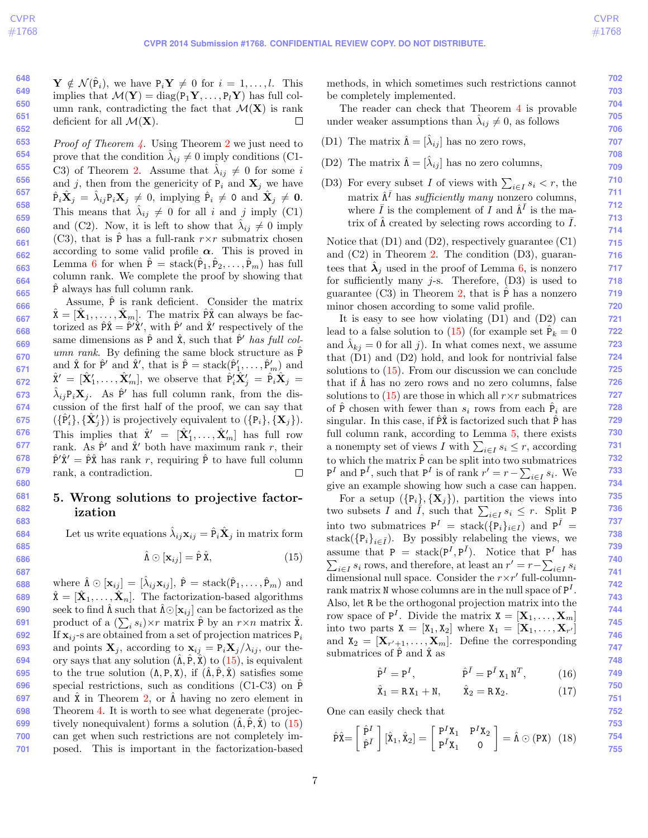$\mathbf{Y} \notin \mathcal{N}(\hat{P}_i)$ , we have  $P_i \mathbf{Y} \neq 0$  for  $i = 1, \ldots, l$ . This implies that  $\mathcal{M}(\mathbf{Y}) = \text{diag}(\mathbf{P}_1 \mathbf{Y}, \dots, \mathbf{P}_l \mathbf{Y})$  has full column rank, contradicting the fact that  $\mathcal{M}(\mathbf{X})$  is rank deficient for all  $\mathcal{M}(\mathbf{X})$ .  $\Box$ 

*Proof of Theorem [4.](#page-5-2)* Using Theorem [2](#page-3-3) we just need to prove that the condition  $\lambda_{ij} \neq 0$  imply conditions (C1-C3) of Theorem [2.](#page-3-3) Assume that  $\hat{\lambda}_{ij} \neq 0$  for some i and j, then from the genericity of  $P_i$  and  $X_j$  we have  $\hat{P}_i \hat{X}_j = \hat{\lambda}_{ij} P_i X_j \neq 0$ , implying  $\hat{P}_i \neq 0$  and  $\hat{X}_j \neq 0$ . This means that  $\hat{\lambda}_{ij} \neq 0$  for all i and j imply (C1) and (C2). Now, it is left to show that  $\hat{\lambda}_{ij} \neq 0$  imply (C3), that is  $\hat{P}$  has a full-rank  $r \times r$  submatrix chosen according to some valid profile  $\alpha$ . This is proved in Lemma [6](#page-5-6) for when  $\hat{P} = \text{stack}(\hat{P}_1, \hat{P}_2, \dots, \hat{P}_m)$  has full column rank. We complete the proof by showing that P always has full column rank.

Assume,  $\hat{P}$  is rank deficient. Consider the matrix  $\hat{\mathbf{X}} = [\hat{\mathbf{X}}_1, \dots, \hat{\mathbf{X}}_m]$ . The matrix  $\hat{\mathbf{P}}\hat{\mathbf{X}}$  can always be factorized as  $\hat{P}\hat{\mathbf{x}} = \hat{P}'\hat{\mathbf{x}}'$ , with  $\hat{P}'$  and  $\hat{\mathbf{x}}'$  respectively of the same dimensions as  $\hat{P}$  and  $\hat{X}$ , such that  $\hat{P}'$  has full column rank. By defining the same block structure as  $\hat{P}$ and  $\hat{\mathbf{X}}$  for  $\hat{\mathbf{P}}'$  and  $\hat{\mathbf{X}}'$ , that is  $\hat{\mathbf{P}} = \text{stack}(\hat{\mathbf{P}}'_1, \dots, \hat{\mathbf{P}}'_m)$  and  $\hat{\mathbf{X}}' = [\hat{\mathbf{X}}'_1, \dots, \hat{\mathbf{X}}'_m],$  we observe that  $\hat{\mathbf{P}}'_i \hat{\mathbf{X}}'_j = \hat{\mathbf{P}}_i \hat{\mathbf{X}}_j =$  $\hat{\lambda}_{ij}P_i\mathbf{X}_j$ . As  $\hat{P}'$  has full column rank, from the discussion of the first half of the proof, we can say that  $({{\hat{\mathbf{P}}}'_i}, {\{\hat{\mathbf{X}}'_{j}\}})$  is projectively equivalent to  $({{\mathbf{P}}_i}, {\{\mathbf{X}}_{j}\}})$ . This implies that  $\hat{\mathbf{X}}' = [\hat{\mathbf{X}}'_1, \dots, \hat{\mathbf{X}}'_m]$  has full row rank. As  $\hat{P}'$  and  $\hat{X}'$  both have maximum rank r, their **678**  $\hat{P}'\hat{X}' = \hat{P}\hat{X}$  has rank r, requiring  $\hat{P}$  to have full column rank, a contradiction.  $\Box$ 

# <span id="page-6-0"></span>5. Wrong solutions to projective factorization

Let us write equations  $\hat{\lambda}_{ij} \mathbf{x}_{ij} = \hat{\mathbf{P}}_i \hat{\mathbf{X}}_j$  in matrix form

$$
\hat{\Lambda} \odot [\mathbf{x}_{ij}] = \hat{P}\hat{X},\tag{15}
$$

**688 689 690 691 692 693 694 695 696 697 698 699 700 701** where  $\hat{\Lambda} \odot [\mathbf{x}_{ij}] = [\hat{\lambda}_{ij}\mathbf{x}_{ij}], \hat{P} = \text{stack}(\hat{P}_1, \dots, \hat{P}_m)$  and  $\hat{\mathbf{X}} = [\hat{\mathbf{X}}_1, \dots, \hat{\mathbf{X}}_n].$  The factorization-based algorithms seek to find  $\hat{\Lambda}$  such that  $\hat{\Lambda} \odot [\mathbf{x}_{ij}]$  can be factorized as the product of a  $(\sum_i s_i) \times r$  matrix  $\hat{P}$  by an  $r \times n$  matrix  $\hat{\mathbf{x}}$ . If  $\mathbf{x}_{ij}$ -s are obtained from a set of projection matrices  $P_i$ and points  $\mathbf{X}_j$ , according to  $\mathbf{x}_{ij} = \mathbf{P}_i \mathbf{X}_j / \lambda_{ij}$ , our theory says that any solution  $(\hat{\Lambda}, \hat{P}, \hat{X})$  to  $(15)$ , is equivalent to the true solution  $(\Lambda, P, X)$ , if  $(\hat{\Lambda}, \hat{P}, \hat{X})$  satisfies some special restrictions, such as conditions (C1-C3) on  $\hat{P}$ and  $\hat{\mathbf{x}}$  in Theorem [2,](#page-3-3) or  $\hat{\mathbf{A}}$  having no zero element in Theorem [4.](#page-5-2) It is worth to see what degenerate (projectively nonequivalent) forms a solution  $(\hat{\Lambda}, \hat{P}, \hat{X})$  to  $(15)$ can get when such restrictions are not completely imposed. This is important in the factorization-based

methods, in which sometimes such restrictions cannot be completely implemented.

The reader can check that Theorem [4](#page-5-2) is provable under weaker assumptions than  $\hat{\lambda}_{ij} \neq 0$ , as follows

- (D1) The matrix  $\hat{\Lambda} = [\hat{\lambda}_{ij}]$  has no zero rows,
- (D2) The matrix  $\hat{\Lambda} = [\hat{\lambda}_{ij}]$  has no zero columns,
- (D3) For every subset I of views with  $\sum_{i\in I} s_i < r$ , the matrix  $\hat{\Lambda}^{\bar{I}}$  has sufficiently many nonzero columns, where  $\overline{I}$  is the complement of  $\overline{I}$  and  $\hat{\Lambda}^{\overline{I}}$  is the matrix of  $\hat{\Lambda}$  created by selecting rows according to  $\overline{I}$ .

Notice that (D1) and (D2), respectively guarantee (C1) and (C2) in Theorem [2.](#page-3-3) The condition (D3), guarantees that  $\hat{\lambda}_j$  used in the proof of Lemma [6,](#page-5-6) is nonzero for sufficiently many  $j$ -s. Therefore,  $(D3)$  is used to guarantee (C3) in Theorem [2,](#page-3-3) that is  $\hat{P}$  has a nonzero minor chosen according to some valid profile.

It is easy to see how violating (D1) and (D2) can lead to a false solution to  $(15)$  (for example set  $\overline{P}_k = 0$ and  $\hat{\lambda}_{kj} = 0$  for all j). In what comes next, we assume that (D1) and (D2) hold, and look for nontrivial false solutions to  $(15)$ . From our discussion we can conclude that if  $\hat{\Lambda}$  has no zero rows and no zero columns, false solutions to  $(15)$  are those in which all  $r \times r$  submatrices of  $\hat{P}$  chosen with fewer than  $s_i$  rows from each  $\hat{P}_i$  are singular. In this case, if  $\overline{PX}$  is factorized such that  $\overline{P}$  has full column rank, according to Lemma [5,](#page-5-3) there exists a nonempty set of views I with  $\sum_{i \in I} s_i \leq r$ , according to which the matrix  $\hat{P}$  can be split into two submatrices  $P^I$  and  $P^{\bar{I}}$ , such that  $P^I$  is of rank  $r' = r - \sum_{i \in I} s_i$ . We give an example showing how such a case can happen.

<span id="page-6-1"></span>For a setup  $({P_i},{\mathbf{X}_i})$ , partition the views into two subsets  $\overline{I}$  and  $\overline{I}$ , such that  $\sum_{i\in I} s_i \leq r$ . Split P into two submatrices  $P^I = \text{stack}(\{P_i\}_{i \in I})$  and  $P^{\bar{I}} =$ stack( $\{P_i\}_{i\in \bar{I}}$ ). By possibly relabeling the views, we assume that  $P = \text{stack}(P^I, P^{\bar{I}})$ . Notice that  $P^I$  has  $\sum_{i \in I} s_i$  rows, and therefore, at least an  $r' = r - \sum_{i \in I} s_i$ dimensional null space. Consider the  $r \times r'$  full-columnrank matrix  $N$  whose columns are in the null space of  $P<sup>I</sup>$ . Also, let R be the orthogonal projection matrix into the row space of  $P^I$ . Divide the matrix  $X = [\mathbf{X}_1, \dots, \mathbf{X}_m]$ into two parts  $X = [X_1, X_2]$  where  $X_1 = [X_1, \ldots, X_{r'}]$ and  $X_2 = [X_{r'+1}, \ldots, X_m]$ . Define the corresponding submatrices of  $\hat{P}$  and  $\hat{X}$  as

<span id="page-6-2"></span>
$$
\hat{\mathbf{P}}^I = \mathbf{P}^I, \qquad \qquad \hat{\mathbf{P}}^{\bar{I}} = \mathbf{P}^{\bar{I}} \mathbf{X}_1 \mathbf{N}^T, \qquad (16)
$$

$$
\hat{\mathbf{X}}_1 = \mathbf{R} \mathbf{X}_1 + \mathbf{N}, \qquad \hat{\mathbf{X}}_2 = \mathbf{R} \mathbf{X}_2. \tag{17}
$$

One can easily check that

$$
\hat{\mathbf{P}}\hat{\mathbf{X}} = \begin{bmatrix} \hat{\mathbf{P}}^I \\ \hat{\mathbf{P}}^I \end{bmatrix} [\hat{\mathbf{X}}_1, \hat{\mathbf{X}}_2] = \begin{bmatrix} \mathbf{P}^I \mathbf{X}_1 & \mathbf{P}^I \mathbf{X}_2 \\ \mathbf{P}^I \mathbf{X}_1 & 0 \end{bmatrix} = \hat{\mathbf{\Lambda}} \odot (\mathbf{P}\mathbf{X}) \tag{18}
$$